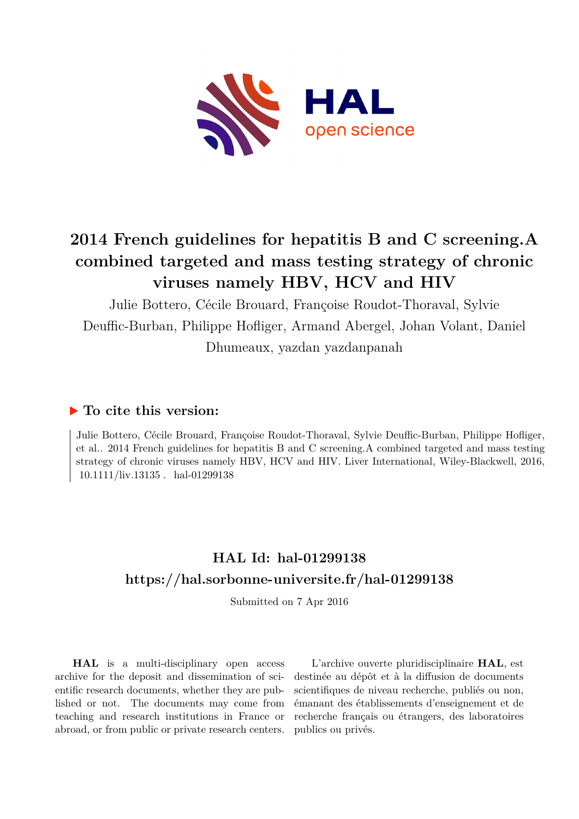

# **2014 French guidelines for hepatitis B and C screening.A combined targeted and mass testing strategy of chronic viruses namely HBV, HCV and HIV**

Julie Bottero, Cécile Brouard, Françoise Roudot-Thoraval, Sylvie Deuffic-Burban, Philippe Hofliger, Armand Abergel, Johan Volant, Daniel Dhumeaux, yazdan yazdanpanah

## **To cite this version:**

Julie Bottero, Cécile Brouard, Françoise Roudot-Thoraval, Sylvie Deuffic-Burban, Philippe Hofliger, et al.. 2014 French guidelines for hepatitis B and C screening.A combined targeted and mass testing strategy of chronic viruses namely HBV, HCV and HIV. Liver International, Wiley-Blackwell, 2016,  $10.1111$ /liv.13135. hal-01299138

# **HAL Id: hal-01299138 <https://hal.sorbonne-universite.fr/hal-01299138>**

Submitted on 7 Apr 2016

**HAL** is a multi-disciplinary open access archive for the deposit and dissemination of scientific research documents, whether they are published or not. The documents may come from teaching and research institutions in France or abroad, or from public or private research centers.

L'archive ouverte pluridisciplinaire **HAL**, est destinée au dépôt et à la diffusion de documents scientifiques de niveau recherche, publiés ou non, émanant des établissements d'enseignement et de recherche français ou étrangers, des laboratoires publics ou privés.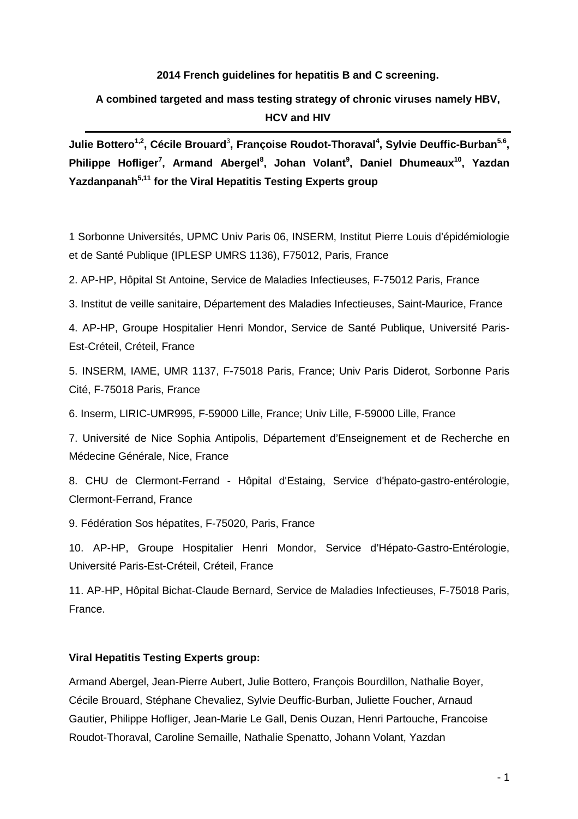## **2014 French guidelines for hepatitis B and C screening.**

## **A combined targeted and mass testing strategy of chronic viruses namely HBV, HCV and HIV**

Julie Bottero<sup>1,2</sup>, Cécile Brouard<sup>3</sup>, Françoise Roudot-Thoraval<sup>4</sup>, Sylvie Deuffic-Burban<sup>5,6</sup>, **Philippe Hofliger<sup>7</sup> , Armand Abergel<sup>8</sup> , Johan Volant<sup>9</sup> , Daniel Dhumeaux<sup>10</sup>, Yazdan Yazdanpanah5,11 for the Viral Hepatitis Testing Experts group**

1 Sorbonne Universités, UPMC Univ Paris 06, INSERM, Institut Pierre Louis d'épidémiologie et de Santé Publique (IPLESP UMRS 1136), F75012, Paris, France

2. AP-HP, Hôpital St Antoine, Service de Maladies Infectieuses, F-75012 Paris, France

3. Institut de veille sanitaire, Département des Maladies Infectieuses, Saint-Maurice, France

4. AP-HP, Groupe Hospitalier Henri Mondor, Service de Santé Publique, Université Paris-Est-Créteil, Créteil, France

5. INSERM, IAME, UMR 1137, F-75018 Paris, France; Univ Paris Diderot, Sorbonne Paris Cité, F-75018 Paris, France

6. Inserm, LIRIC-UMR995, F-59000 Lille, France; Univ Lille, F-59000 Lille, France

7. Université de Nice Sophia Antipolis, Département d'Enseignement et de Recherche en Médecine Générale, Nice, France

8. CHU de Clermont-Ferrand - Hôpital d'Estaing, Service d'hépato-gastro-entérologie, Clermont-Ferrand, France

9. Fédération Sos hépatites, F-75020, Paris, France

10. AP-HP, Groupe Hospitalier Henri Mondor, Service d'Hépato-Gastro-Entérologie, Université Paris-Est-Créteil, Créteil, France

11. AP-HP, Hôpital Bichat-Claude Bernard, Service de Maladies Infectieuses, F-75018 Paris, France.

#### **Viral Hepatitis Testing Experts group:**

Armand Abergel, Jean-Pierre Aubert, Julie Bottero, François Bourdillon, Nathalie Boyer, Cécile Brouard, Stéphane Chevaliez, Sylvie Deuffic-Burban, Juliette Foucher, Arnaud Gautier, Philippe Hofliger, Jean-Marie Le Gall, Denis Ouzan, Henri Partouche, Francoise Roudot-Thoraval, Caroline Semaille, Nathalie Spenatto, Johann Volant, Yazdan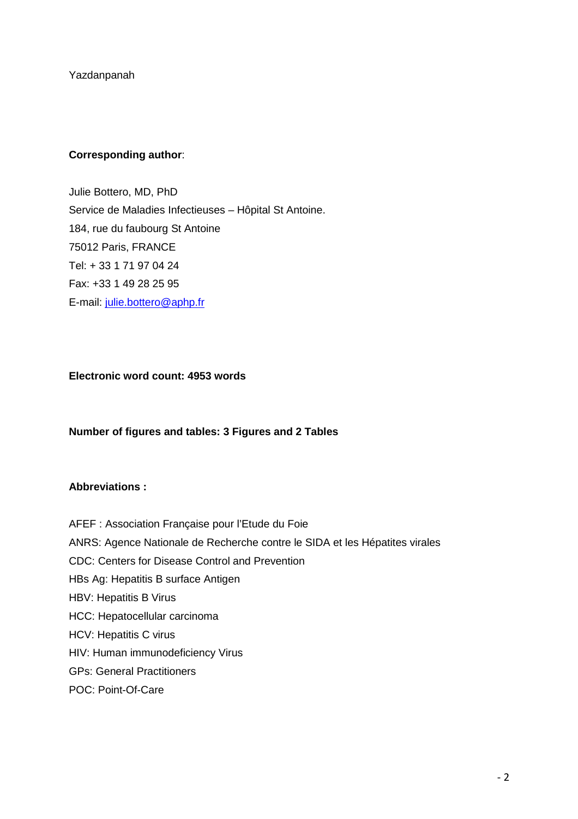Yazdanpanah

## **Corresponding author**:

Julie Bottero, MD, PhD Service de Maladies Infectieuses – Hôpital St Antoine. 184, rue du faubourg St Antoine 75012 Paris, FRANCE Tel: + 33 1 71 97 04 24 Fax: +33 1 49 28 25 95 E-mail: julie.bottero@aphp.fr

## **Electronic word count: 4953 words**

#### **Number of figures and tables: 3 Figures and 2 Tables**

## **Abbreviations :**

AFEF : Association Française pour l'Etude du Foie ANRS: Agence Nationale de Recherche contre le SIDA et les Hépatites virales CDC: Centers for Disease Control and Prevention HBs Ag: Hepatitis B surface Antigen HBV: Hepatitis B Virus HCC: Hepatocellular carcinoma HCV: Hepatitis C virus HIV: Human immunodeficiency Virus GPs: General Practitioners POC: Point-Of-Care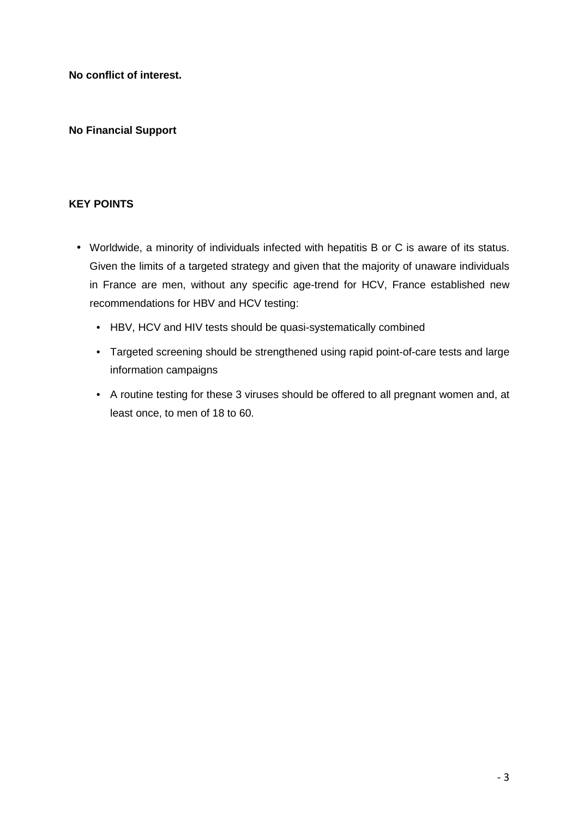**No conflict of interest.** 

## **No Financial Support**

## **KEY POINTS**

- Worldwide, a minority of individuals infected with hepatitis B or C is aware of its status. Given the limits of a targeted strategy and given that the majority of unaware individuals in France are men, without any specific age-trend for HCV, France established new recommendations for HBV and HCV testing:
	- HBV, HCV and HIV tests should be quasi-systematically combined
	- Targeted screening should be strengthened using rapid point-of-care tests and large information campaigns
	- A routine testing for these 3 viruses should be offered to all pregnant women and, at least once, to men of 18 to 60.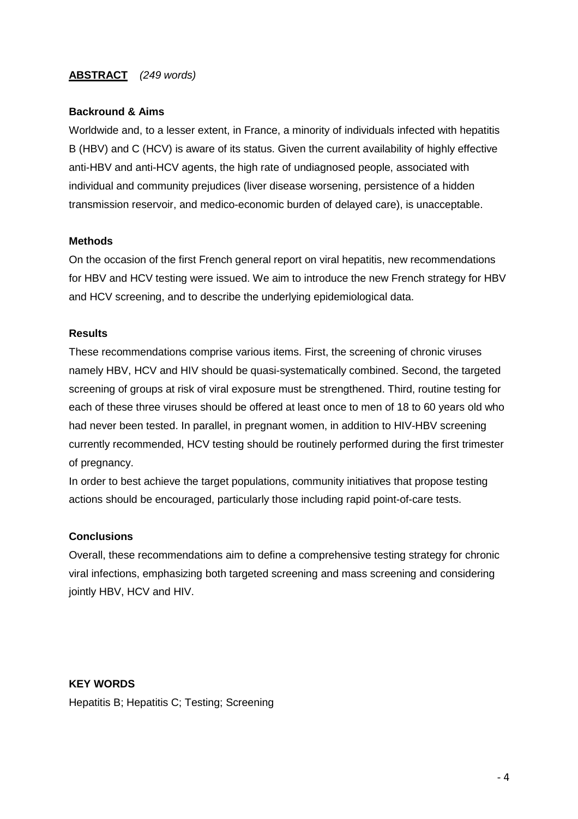## **ABSTRACT** (249 words)

## **Backround & Aims**

Worldwide and, to a lesser extent, in France, a minority of individuals infected with hepatitis B (HBV) and C (HCV) is aware of its status. Given the current availability of highly effective anti-HBV and anti-HCV agents, the high rate of undiagnosed people, associated with individual and community prejudices (liver disease worsening, persistence of a hidden transmission reservoir, and medico-economic burden of delayed care), is unacceptable.

## **Methods**

On the occasion of the first French general report on viral hepatitis, new recommendations for HBV and HCV testing were issued. We aim to introduce the new French strategy for HBV and HCV screening, and to describe the underlying epidemiological data.

## **Results**

These recommendations comprise various items. First, the screening of chronic viruses namely HBV, HCV and HIV should be quasi-systematically combined. Second, the targeted screening of groups at risk of viral exposure must be strengthened. Third, routine testing for each of these three viruses should be offered at least once to men of 18 to 60 years old who had never been tested. In parallel, in pregnant women, in addition to HIV-HBV screening currently recommended, HCV testing should be routinely performed during the first trimester of pregnancy.

In order to best achieve the target populations, community initiatives that propose testing actions should be encouraged, particularly those including rapid point-of-care tests.

## **Conclusions**

Overall, these recommendations aim to define a comprehensive testing strategy for chronic viral infections, emphasizing both targeted screening and mass screening and considering jointly HBV, HCV and HIV.

## **KEY WORDS**

Hepatitis B; Hepatitis C; Testing; Screening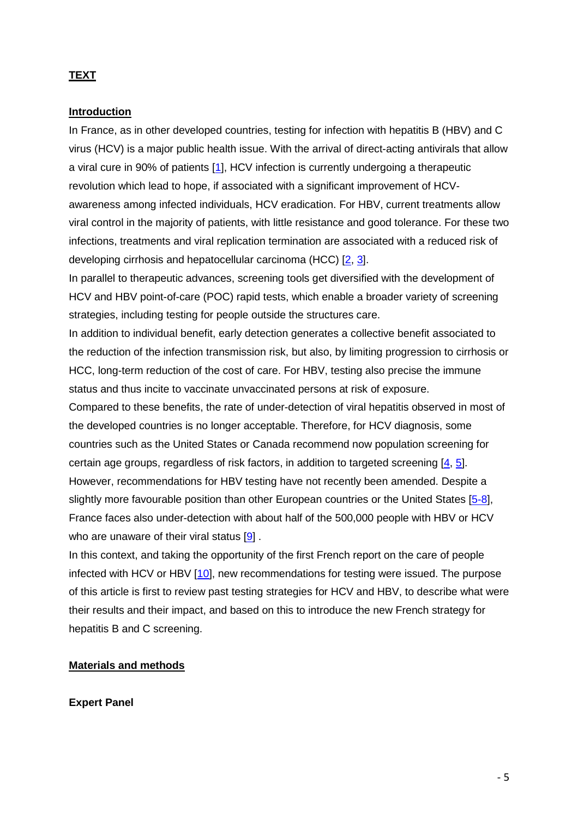## **TEXT**

### **Introduction**

In France, as in other developed countries, testing for infection with hepatitis B (HBV) and C virus (HCV) is a major public health issue. With the arrival of direct-acting antivirals that allow a viral cure in 90% of patients [1], HCV infection is currently undergoing a therapeutic revolution which lead to hope, if associated with a significant improvement of HCVawareness among infected individuals, HCV eradication. For HBV, current treatments allow viral control in the majority of patients, with little resistance and good tolerance. For these two infections, treatments and viral replication termination are associated with a reduced risk of developing cirrhosis and hepatocellular carcinoma (HCC) [2, 3].

In parallel to therapeutic advances, screening tools get diversified with the development of HCV and HBV point-of-care (POC) rapid tests, which enable a broader variety of screening strategies, including testing for people outside the structures care.

In addition to individual benefit, early detection generates a collective benefit associated to the reduction of the infection transmission risk, but also, by limiting progression to cirrhosis or HCC, long-term reduction of the cost of care. For HBV, testing also precise the immune status and thus incite to vaccinate unvaccinated persons at risk of exposure.

Compared to these benefits, the rate of under-detection of viral hepatitis observed in most of the developed countries is no longer acceptable. Therefore, for HCV diagnosis, some countries such as the United States or Canada recommend now population screening for certain age groups, regardless of risk factors, in addition to targeted screening [4, 5]. However, recommendations for HBV testing have not recently been amended. Despite a slightly more favourable position than other European countries or the United States [5-8], France faces also under-detection with about half of the 500,000 people with HBV or HCV who are unaware of their viral status [9].

In this context, and taking the opportunity of the first French report on the care of people infected with HCV or HBV [10], new recommendations for testing were issued. The purpose of this article is first to review past testing strategies for HCV and HBV, to describe what were their results and their impact, and based on this to introduce the new French strategy for hepatitis B and C screening.

### **Materials and methods**

**Expert Panel**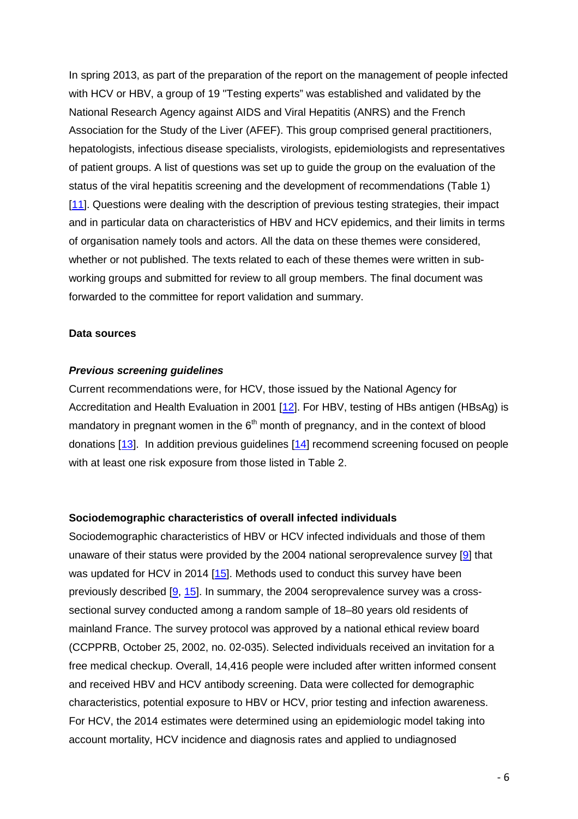In spring 2013, as part of the preparation of the report on the management of people infected with HCV or HBV, a group of 19 "Testing experts" was established and validated by the National Research Agency against AIDS and Viral Hepatitis (ANRS) and the French Association for the Study of the Liver (AFEF). This group comprised general practitioners, hepatologists, infectious disease specialists, virologists, epidemiologists and representatives of patient groups. A list of questions was set up to guide the group on the evaluation of the status of the viral hepatitis screening and the development of recommendations (Table 1) [11]. Questions were dealing with the description of previous testing strategies, their impact and in particular data on characteristics of HBV and HCV epidemics, and their limits in terms of organisation namely tools and actors. All the data on these themes were considered, whether or not published. The texts related to each of these themes were written in subworking groups and submitted for review to all group members. The final document was forwarded to the committee for report validation and summary.

#### **Data sources**

#### **Previous screening guidelines**

Current recommendations were, for HCV, those issued by the National Agency for Accreditation and Health Evaluation in 2001 [12]. For HBV, testing of HBs antigen (HBsAg) is mandatory in pregnant women in the  $6<sup>th</sup>$  month of pregnancy, and in the context of blood donations [13]. In addition previous guidelines [14] recommend screening focused on people with at least one risk exposure from those listed in Table 2.

#### **Sociodemographic characteristics of overall infected individuals**

Sociodemographic characteristics of HBV or HCV infected individuals and those of them unaware of their status were provided by the 2004 national seroprevalence survey [9] that was updated for HCV in 2014 [15]. Methods used to conduct this survey have been previously described [9, 15]. In summary, the 2004 seroprevalence survey was a crosssectional survey conducted among a random sample of 18–80 years old residents of mainland France. The survey protocol was approved by a national ethical review board (CCPPRB, October 25, 2002, no. 02-035). Selected individuals received an invitation for a free medical checkup. Overall, 14,416 people were included after written informed consent and received HBV and HCV antibody screening. Data were collected for demographic characteristics, potential exposure to HBV or HCV, prior testing and infection awareness. For HCV, the 2014 estimates were determined using an epidemiologic model taking into account mortality, HCV incidence and diagnosis rates and applied to undiagnosed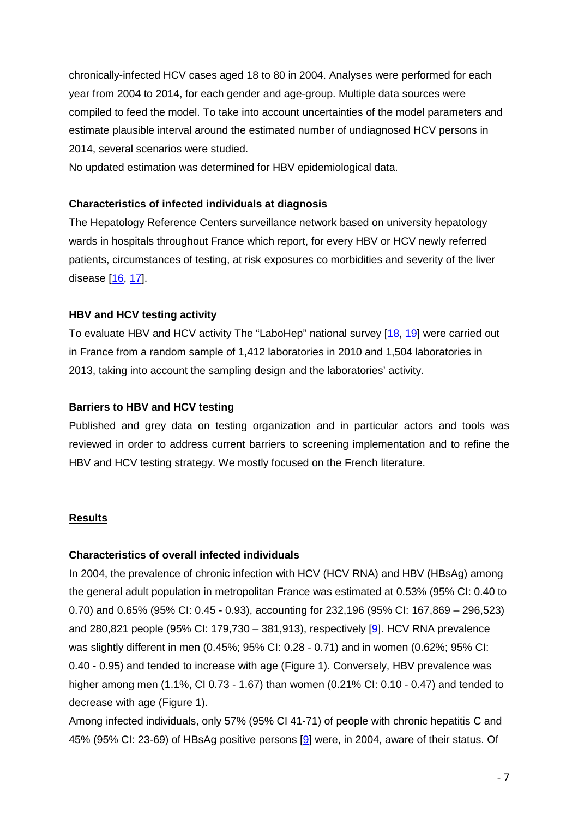chronically-infected HCV cases aged 18 to 80 in 2004. Analyses were performed for each year from 2004 to 2014, for each gender and age-group. Multiple data sources were compiled to feed the model. To take into account uncertainties of the model parameters and estimate plausible interval around the estimated number of undiagnosed HCV persons in 2014, several scenarios were studied.

No updated estimation was determined for HBV epidemiological data.

## **Characteristics of infected individuals at diagnosis**

The Hepatology Reference Centers surveillance network based on university hepatology wards in hospitals throughout France which report, for every HBV or HCV newly referred patients, circumstances of testing, at risk exposures co morbidities and severity of the liver disease [16, 17].

## **HBV and HCV testing activity**

To evaluate HBV and HCV activity The "LaboHep" national survey [18, 19] were carried out in France from a random sample of 1,412 laboratories in 2010 and 1,504 laboratories in 2013, taking into account the sampling design and the laboratories' activity.

## **Barriers to HBV and HCV testing**

Published and grey data on testing organization and in particular actors and tools was reviewed in order to address current barriers to screening implementation and to refine the HBV and HCV testing strategy. We mostly focused on the French literature.

## **Results**

## **Characteristics of overall infected individuals**

In 2004, the prevalence of chronic infection with HCV (HCV RNA) and HBV (HBsAg) among the general adult population in metropolitan France was estimated at 0.53% (95% CI: 0.40 to 0.70) and 0.65% (95% CI: 0.45 - 0.93), accounting for 232,196 (95% CI: 167,869 – 296,523) and 280,821 people (95% CI: 179,730 – 381,913), respectively [9]. HCV RNA prevalence was slightly different in men (0.45%; 95% CI: 0.28 - 0.71) and in women (0.62%; 95% CI: 0.40 - 0.95) and tended to increase with age (Figure 1). Conversely, HBV prevalence was higher among men (1.1%, CI 0.73 - 1.67) than women (0.21% CI: 0.10 - 0.47) and tended to decrease with age (Figure 1).

Among infected individuals, only 57% (95% CI 41-71) of people with chronic hepatitis C and 45% (95% CI: 23-69) of HBsAg positive persons [9] were, in 2004, aware of their status. Of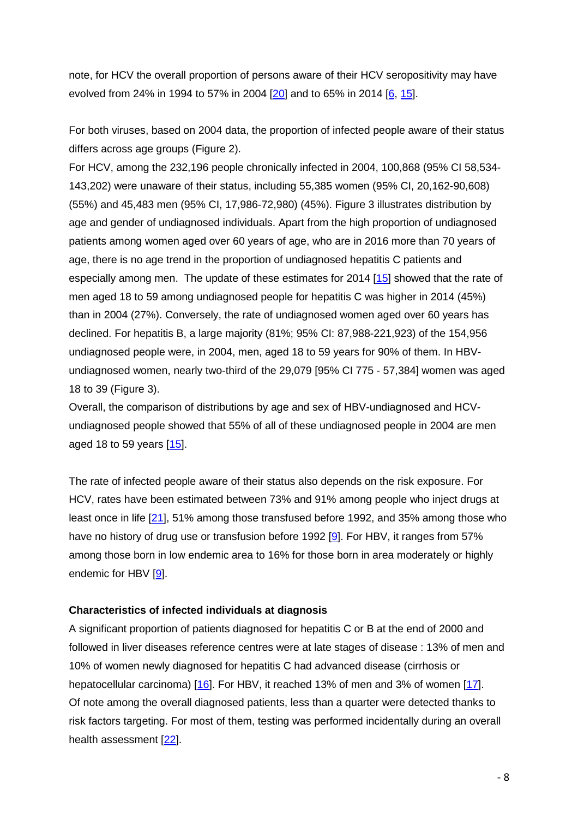note, for HCV the overall proportion of persons aware of their HCV seropositivity may have evolved from 24% in 1994 to 57% in 2004 [20] and to 65% in 2014 [6, 15].

For both viruses, based on 2004 data, the proportion of infected people aware of their status differs across age groups (Figure 2).

For HCV, among the 232,196 people chronically infected in 2004, 100,868 (95% CI 58,534- 143,202) were unaware of their status, including 55,385 women (95% CI, 20,162-90,608) (55%) and 45,483 men (95% CI, 17,986-72,980) (45%). Figure 3 illustrates distribution by age and gender of undiagnosed individuals. Apart from the high proportion of undiagnosed patients among women aged over 60 years of age, who are in 2016 more than 70 years of age, there is no age trend in the proportion of undiagnosed hepatitis C patients and especially among men. The update of these estimates for 2014 [15] showed that the rate of men aged 18 to 59 among undiagnosed people for hepatitis C was higher in 2014 (45%) than in 2004 (27%). Conversely, the rate of undiagnosed women aged over 60 years has declined. For hepatitis B, a large majority (81%; 95% CI: 87,988-221,923) of the 154,956 undiagnosed people were, in 2004, men, aged 18 to 59 years for 90% of them. In HBVundiagnosed women, nearly two-third of the 29,079 [95% CI 775 - 57,384] women was aged 18 to 39 (Figure 3).

Overall, the comparison of distributions by age and sex of HBV-undiagnosed and HCVundiagnosed people showed that 55% of all of these undiagnosed people in 2004 are men aged 18 to 59 years [15].

The rate of infected people aware of their status also depends on the risk exposure. For HCV, rates have been estimated between 73% and 91% among people who inject drugs at least once in life [21], 51% among those transfused before 1992, and 35% among those who have no history of drug use or transfusion before 1992 [9]. For HBV, it ranges from 57% among those born in low endemic area to 16% for those born in area moderately or highly endemic for HBV [9].

## **Characteristics of infected individuals at diagnosis**

A significant proportion of patients diagnosed for hepatitis C or B at the end of 2000 and followed in liver diseases reference centres were at late stages of disease : 13% of men and 10% of women newly diagnosed for hepatitis C had advanced disease (cirrhosis or hepatocellular carcinoma) [16]. For HBV, it reached 13% of men and 3% of women [17]. Of note among the overall diagnosed patients, less than a quarter were detected thanks to risk factors targeting. For most of them, testing was performed incidentally during an overall health assessment [22].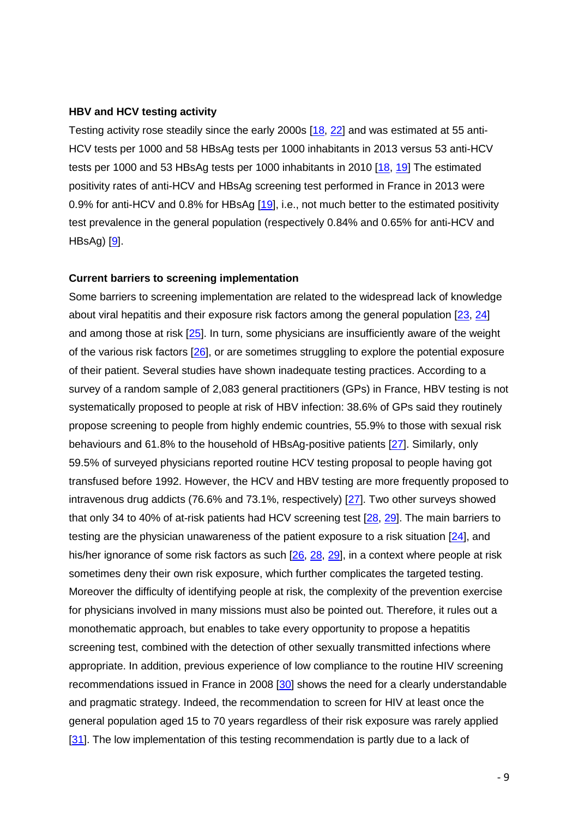#### **HBV and HCV testing activity**

Testing activity rose steadily since the early 2000s [18, 22] and was estimated at 55 anti-HCV tests per 1000 and 58 HBsAg tests per 1000 inhabitants in 2013 versus 53 anti-HCV tests per 1000 and 53 HBsAg tests per 1000 inhabitants in 2010 [18, 19] The estimated positivity rates of anti-HCV and HBsAg screening test performed in France in 2013 were 0.9% for anti-HCV and 0.8% for HBsAg [19], i.e., not much better to the estimated positivity test prevalence in the general population (respectively 0.84% and 0.65% for anti-HCV and  $HBSAg$ )  $[9]$ .

#### **Current barriers to screening implementation**

Some barriers to screening implementation are related to the widespread lack of knowledge about viral hepatitis and their exposure risk factors among the general population [23, 24] and among those at risk [25]. In turn, some physicians are insufficiently aware of the weight of the various risk factors [26], or are sometimes struggling to explore the potential exposure of their patient. Several studies have shown inadequate testing practices. According to a survey of a random sample of 2,083 general practitioners (GPs) in France, HBV testing is not systematically proposed to people at risk of HBV infection: 38.6% of GPs said they routinely propose screening to people from highly endemic countries, 55.9% to those with sexual risk behaviours and 61.8% to the household of HBsAg-positive patients [27]. Similarly, only 59.5% of surveyed physicians reported routine HCV testing proposal to people having got transfused before 1992. However, the HCV and HBV testing are more frequently proposed to intravenous drug addicts (76.6% and 73.1%, respectively) [27]. Two other surveys showed that only 34 to 40% of at-risk patients had HCV screening test [28, 29]. The main barriers to testing are the physician unawareness of the patient exposure to a risk situation [24], and his/her ignorance of some risk factors as such [26, 28, 29], in a context where people at risk sometimes deny their own risk exposure, which further complicates the targeted testing. Moreover the difficulty of identifying people at risk, the complexity of the prevention exercise for physicians involved in many missions must also be pointed out. Therefore, it rules out a monothematic approach, but enables to take every opportunity to propose a hepatitis screening test, combined with the detection of other sexually transmitted infections where appropriate. In addition, previous experience of low compliance to the routine HIV screening recommendations issued in France in 2008 [30] shows the need for a clearly understandable and pragmatic strategy. Indeed, the recommendation to screen for HIV at least once the general population aged 15 to 70 years regardless of their risk exposure was rarely applied [31]. The low implementation of this testing recommendation is partly due to a lack of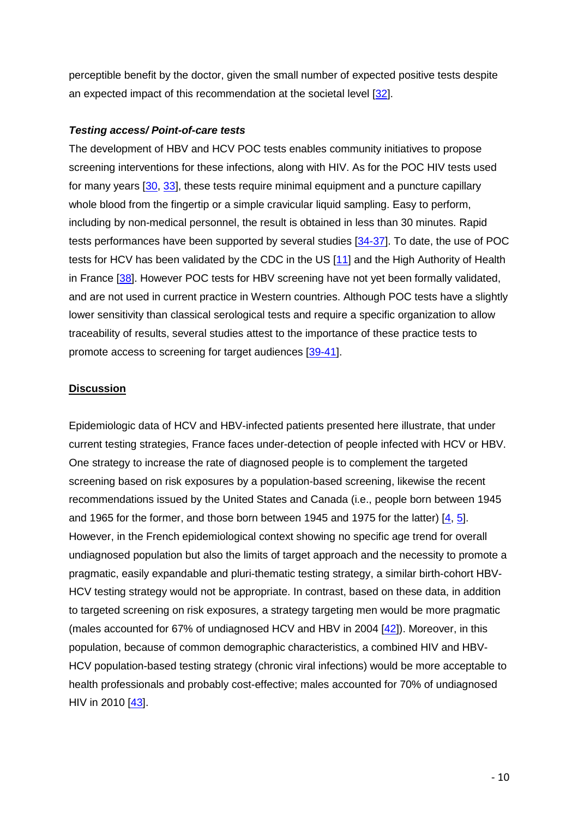perceptible benefit by the doctor, given the small number of expected positive tests despite an expected impact of this recommendation at the societal level [32].

## **Testing access/ Point-of-care tests**

The development of HBV and HCV POC tests enables community initiatives to propose screening interventions for these infections, along with HIV. As for the POC HIV tests used for many years [30, 33], these tests require minimal equipment and a puncture capillary whole blood from the fingertip or a simple cravicular liquid sampling. Easy to perform, including by non-medical personnel, the result is obtained in less than 30 minutes. Rapid tests performances have been supported by several studies [34-37]. To date, the use of POC tests for HCV has been validated by the CDC in the US [11] and the High Authority of Health in France [38]. However POC tests for HBV screening have not yet been formally validated, and are not used in current practice in Western countries. Although POC tests have a slightly lower sensitivity than classical serological tests and require a specific organization to allow traceability of results, several studies attest to the importance of these practice tests to promote access to screening for target audiences [39-41].

## **Discussion**

Epidemiologic data of HCV and HBV-infected patients presented here illustrate, that under current testing strategies, France faces under-detection of people infected with HCV or HBV. One strategy to increase the rate of diagnosed people is to complement the targeted screening based on risk exposures by a population-based screening, likewise the recent recommendations issued by the United States and Canada (i.e., people born between 1945 and 1965 for the former, and those born between 1945 and 1975 for the latter) [4, 5]. However, in the French epidemiological context showing no specific age trend for overall undiagnosed population but also the limits of target approach and the necessity to promote a pragmatic, easily expandable and pluri-thematic testing strategy, a similar birth-cohort HBV-HCV testing strategy would not be appropriate. In contrast, based on these data, in addition to targeted screening on risk exposures, a strategy targeting men would be more pragmatic (males accounted for 67% of undiagnosed HCV and HBV in 2004 [42]). Moreover, in this population, because of common demographic characteristics, a combined HIV and HBV-HCV population-based testing strategy (chronic viral infections) would be more acceptable to health professionals and probably cost-effective; males accounted for 70% of undiagnosed HIV in 2010 [43].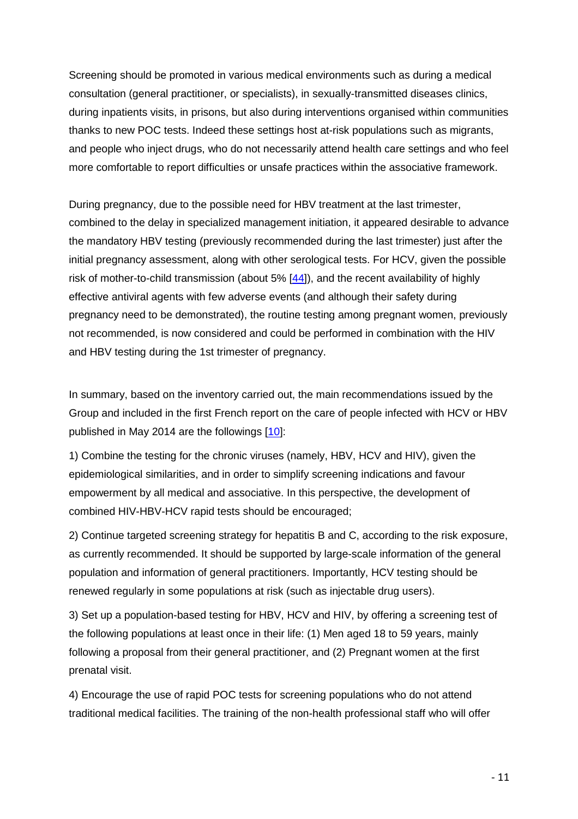Screening should be promoted in various medical environments such as during a medical consultation (general practitioner, or specialists), in sexually-transmitted diseases clinics, during inpatients visits, in prisons, but also during interventions organised within communities thanks to new POC tests. Indeed these settings host at-risk populations such as migrants, and people who inject drugs, who do not necessarily attend health care settings and who feel more comfortable to report difficulties or unsafe practices within the associative framework.

During pregnancy, due to the possible need for HBV treatment at the last trimester, combined to the delay in specialized management initiation, it appeared desirable to advance the mandatory HBV testing (previously recommended during the last trimester) just after the initial pregnancy assessment, along with other serological tests. For HCV, given the possible risk of mother-to-child transmission (about 5% [44]), and the recent availability of highly effective antiviral agents with few adverse events (and although their safety during pregnancy need to be demonstrated), the routine testing among pregnant women, previously not recommended, is now considered and could be performed in combination with the HIV and HBV testing during the 1st trimester of pregnancy.

In summary, based on the inventory carried out, the main recommendations issued by the Group and included in the first French report on the care of people infected with HCV or HBV published in May 2014 are the followings [10]:

1) Combine the testing for the chronic viruses (namely, HBV, HCV and HIV), given the epidemiological similarities, and in order to simplify screening indications and favour empowerment by all medical and associative. In this perspective, the development of combined HIV-HBV-HCV rapid tests should be encouraged;

2) Continue targeted screening strategy for hepatitis B and C, according to the risk exposure, as currently recommended. It should be supported by large-scale information of the general population and information of general practitioners. Importantly, HCV testing should be renewed regularly in some populations at risk (such as injectable drug users).

3) Set up a population-based testing for HBV, HCV and HIV, by offering a screening test of the following populations at least once in their life: (1) Men aged 18 to 59 years, mainly following a proposal from their general practitioner, and (2) Pregnant women at the first prenatal visit.

4) Encourage the use of rapid POC tests for screening populations who do not attend traditional medical facilities. The training of the non-health professional staff who will offer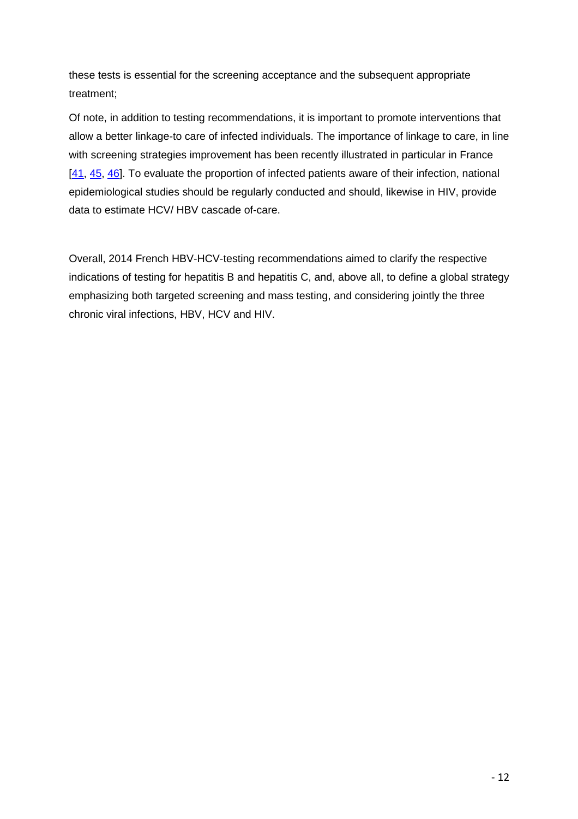these tests is essential for the screening acceptance and the subsequent appropriate treatment;

Of note, in addition to testing recommendations, it is important to promote interventions that allow a better linkage-to care of infected individuals. The importance of linkage to care, in line with screening strategies improvement has been recently illustrated in particular in France [41, 45, 46]. To evaluate the proportion of infected patients aware of their infection, national epidemiological studies should be regularly conducted and should, likewise in HIV, provide data to estimate HCV/ HBV cascade of-care.

Overall, 2014 French HBV-HCV-testing recommendations aimed to clarify the respective indications of testing for hepatitis B and hepatitis C, and, above all, to define a global strategy emphasizing both targeted screening and mass testing, and considering jointly the three chronic viral infections, HBV, HCV and HIV.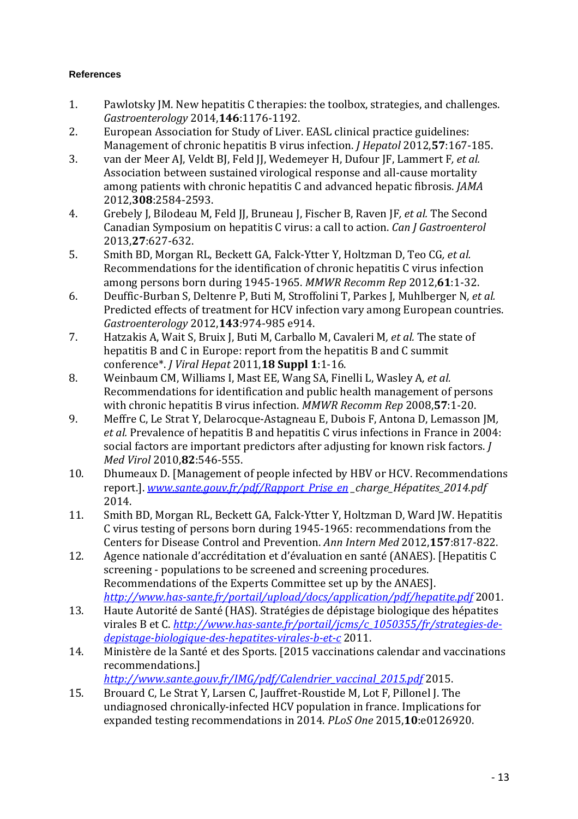## **References**

- 1. Pawlotsky JM. New hepatitis C therapies: the toolbox, strategies, and challenges. *Gastroenterology* 2014,**146**:1176-1192.
- 2. European Association for Study of Liver. EASL clinical practice guidelines: Management of chronic hepatitis B virus infection. *J Hepatol* 2012,**57**:167-185.
- 3. van der Meer AJ, Veldt BJ, Feld JJ, Wedemeyer H, Dufour JF, Lammert F*, et al.* Association between sustained virological response and all-cause mortality among patients with chronic hepatitis C and advanced hepatic fibrosis. *JAMA*  2012,**308**:2584-2593.
- 4. Grebely J, Bilodeau M, Feld JJ, Bruneau J, Fischer B, Raven JF*, et al.* The Second Canadian Symposium on hepatitis C virus: a call to action. *Can J Gastroenterol*  2013,**27**:627-632.
- 5. Smith BD, Morgan RL, Beckett GA, Falck-Ytter Y, Holtzman D, Teo CG*, et al.* Recommendations for the identification of chronic hepatitis C virus infection among persons born during 1945-1965. *MMWR Recomm Rep* 2012,**61**:1-32.
- 6. Deuffic-Burban S, Deltenre P, Buti M, Stroffolini T, Parkes J, Muhlberger N*, et al.* Predicted effects of treatment for HCV infection vary among European countries. *Gastroenterology* 2012,**143**:974-985 e914.
- 7. Hatzakis A, Wait S, Bruix J, Buti M, Carballo M, Cavaleri M*, et al.* The state of hepatitis B and C in Europe: report from the hepatitis B and C summit conference\*. *J Viral Hepat* 2011,**18 Suppl 1**:1-16.
- 8. Weinbaum CM, Williams I, Mast EE, Wang SA, Finelli L, Wasley A*, et al.* Recommendations for identification and public health management of persons with chronic hepatitis B virus infection. *MMWR Recomm Rep* 2008,**57**:1-20.
- 9. Meffre C, Le Strat Y, Delarocque-Astagneau E, Dubois F, Antona D, Lemasson JM*, et al.* Prevalence of hepatitis B and hepatitis C virus infections in France in 2004: social factors are important predictors after adjusting for known risk factors. *J Med Virol* 2010,**82**:546-555.
- 10. Dhumeaux D. [Management of people infected by HBV or HCV. Recommendations report.]. *www.sante.gouv.fr/pdf/Rapport\_Prise\_en \_charge\_Hépatites\_2014.pdf*  2014.
- 11. Smith BD, Morgan RL, Beckett GA, Falck-Ytter Y, Holtzman D, Ward JW. Hepatitis C virus testing of persons born during 1945-1965: recommendations from the Centers for Disease Control and Prevention. *Ann Intern Med* 2012,**157**:817-822.
- 12. Agence nationale d'accréditation et d'évaluation en santé (ANAES). [Hepatitis C screening - populations to be screened and screening procedures. Recommendations of the Experts Committee set up by the ANAES]. *http://www.has-sante.fr/portail/upload/docs/application/pdf/hepatite.pdf* 2001.
- 13. Haute Autorité de Santé (HAS). Stratégies de dépistage biologique des hépatites virales B et C. *http://www.has-sante.fr/portail/jcms/c\_1050355/fr/strategies-dedepistage-biologique-des-hepatites-virales-b-et-c* 2011.
- 14. Ministère de la Santé et des Sports. [2015 vaccinations calendar and vaccinations recommendations.]
	- *http://www.sante.gouv.fr/IMG/pdf/Calendrier\_vaccinal\_2015.pdf* 2015.
- 15. Brouard C, Le Strat Y, Larsen C, Jauffret-Roustide M, Lot F, Pillonel J. The undiagnosed chronically-infected HCV population in france. Implications for expanded testing recommendations in 2014. *PLoS One* 2015,**10**:e0126920.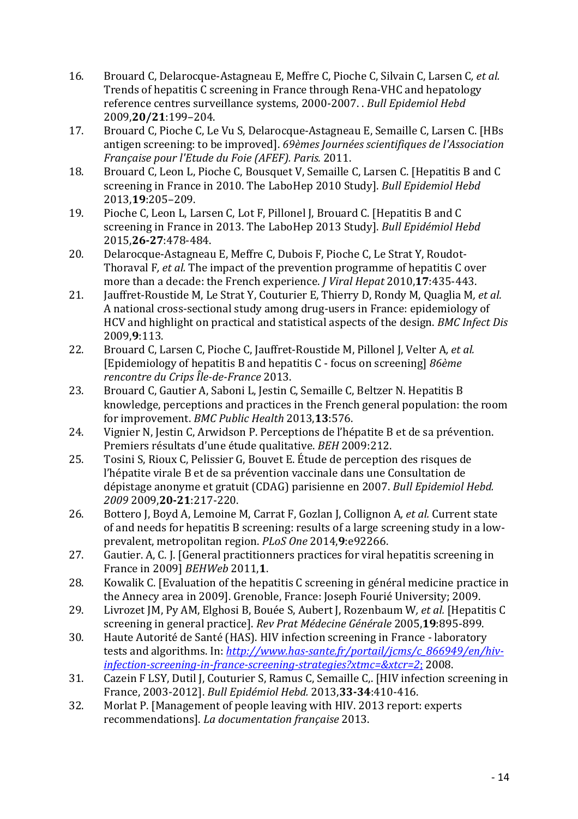- 16. Brouard C, Delarocque-Astagneau E, Meffre C, Pioche C, Silvain C, Larsen C*, et al.* Trends of hepatitis C screening in France through Rena-VHC and hepatology reference centres surveillance systems, 2000-2007. . *Bull Epidemiol Hebd*  2009,**20/21**:199–204.
- 17. Brouard C, Pioche C, Le Vu S, Delarocque-Astagneau E, Semaille C, Larsen C. [HBs antigen screening: to be improved]. *69èmes Journées scientifiques de l'Association Française pour l'Etude du Foie (AFEF). Paris.* 2011.
- 18. Brouard C, Leon L, Pioche C, Bousquet V, Semaille C, Larsen C. [Hepatitis B and C screening in France in 2010. The LaboHep 2010 Study]. *Bull Epidemiol Hebd*  2013,**19**:205–209.
- 19. Pioche C, Leon L, Larsen C, Lot F, Pillonel J, Brouard C. [Hepatitis B and C screening in France in 2013. The LaboHep 2013 Study]. *Bull Epidémiol Hebd*  2015,**26-27**:478-484.
- 20. Delarocque-Astagneau E, Meffre C, Dubois F, Pioche C, Le Strat Y, Roudot-Thoraval F*, et al.* The impact of the prevention programme of hepatitis C over more than a decade: the French experience. *J Viral Hepat* 2010,**17**:435-443.
- 21. Jauffret-Roustide M, Le Strat Y, Couturier E, Thierry D, Rondy M, Quaglia M*, et al.* A national cross-sectional study among drug-users in France: epidemiology of HCV and highlight on practical and statistical aspects of the design. *BMC Infect Dis*  2009,**9**:113.
- 22. Brouard C, Larsen C, Pioche C, Jauffret-Roustide M, Pillonel J, Velter A*, et al.* [Epidemiology of hepatitis B and hepatitis C - focus on screening] *86ème rencontre du Crips Île-de-France* 2013.
- 23. Brouard C, Gautier A, Saboni L, Jestin C, Semaille C, Beltzer N. Hepatitis B knowledge, perceptions and practices in the French general population: the room for improvement. *BMC Public Health* 2013,**13**:576.
- 24. Vignier N, Jestin C, Arwidson P. Perceptions de l'hépatite B et de sa prévention. Premiers résultats d'une étude qualitative. *BEH* 2009:212.
- 25. Tosini S, Rioux C, Pelissier G, Bouvet E. Étude de perception des risques de l'hépatite virale B et de sa prévention vaccinale dans une Consultation de dépistage anonyme et gratuit (CDAG) parisienne en 2007. *Bull Epidemiol Hebd. 2009* 2009,**20-21**:217-220.
- 26. Bottero J, Boyd A, Lemoine M, Carrat F, Gozlan J, Collignon A*, et al.* Current state of and needs for hepatitis B screening: results of a large screening study in a lowprevalent, metropolitan region. *PLoS One* 2014,**9**:e92266.
- 27. Gautier. A, C. J. [General practitionners practices for viral hepatitis screening in France in 2009] *BEHWeb* 2011,**1**.
- 28. Kowalik C. [Evaluation of the hepatitis C screening in général medicine practice in the Annecy area in 2009]. Grenoble, France: Joseph Fourié University; 2009.
- 29. Livrozet JM, Py AM, Elghosi B, Bouée S, Aubert J, Rozenbaum W*, et al.* [Hepatitis C screening in general practice]. *Rev Prat Médecine Générale* 2005,**19**:895-899.
- 30. Haute Autorité de Santé (HAS). HIV infection screening in France laboratory tests and algorithms. In: *http://www.has-sante.fr/portail/jcms/c\_866949/en/hivinfection-screening-in-france-screening-strategies?xtmc=&xtcr=2*; 2008.
- 31. Cazein F LSY, Dutil J, Couturier S, Ramus C, Semaille C,. [HIV infection screening in France, 2003-2012]. *Bull Epidémiol Hebd.* 2013,**33-34**:410-416.
- 32. Morlat P. [Management of people leaving with HIV. 2013 report: experts recommendations]. *La documentation française* 2013.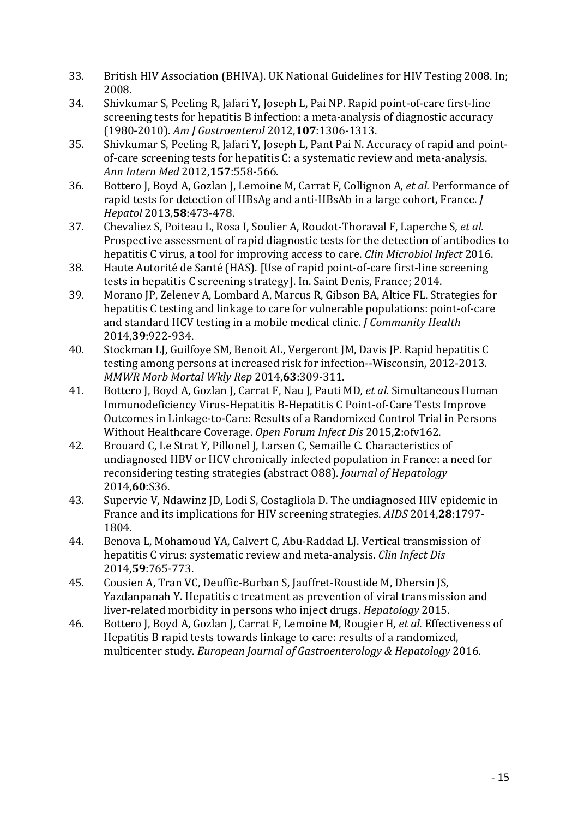- 33. British HIV Association (BHIVA). UK National Guidelines for HIV Testing 2008. In; 2008.
- 34. Shivkumar S, Peeling R, Jafari Y, Joseph L, Pai NP. Rapid point-of-care first-line screening tests for hepatitis B infection: a meta-analysis of diagnostic accuracy (1980-2010). *Am J Gastroenterol* 2012,**107**:1306-1313.
- 35. Shivkumar S, Peeling R, Jafari Y, Joseph L, Pant Pai N. Accuracy of rapid and pointof-care screening tests for hepatitis C: a systematic review and meta-analysis. *Ann Intern Med* 2012,**157**:558-566.
- 36. Bottero J, Boyd A, Gozlan J, Lemoine M, Carrat F, Collignon A*, et al.* Performance of rapid tests for detection of HBsAg and anti-HBsAb in a large cohort, France. *J Hepatol* 2013,**58**:473-478.
- 37. Chevaliez S, Poiteau L, Rosa I, Soulier A, Roudot-Thoraval F, Laperche S*, et al.* Prospective assessment of rapid diagnostic tests for the detection of antibodies to hepatitis C virus, a tool for improving access to care. *Clin Microbiol Infect* 2016.
- 38. Haute Autorité de Santé (HAS). [Use of rapid point-of-care first-line screening tests in hepatitis C screening strategy]. In. Saint Denis, France; 2014.
- 39. Morano JP, Zelenev A, Lombard A, Marcus R, Gibson BA, Altice FL. Strategies for hepatitis C testing and linkage to care for vulnerable populations: point-of-care and standard HCV testing in a mobile medical clinic. *J Community Health*  2014,**39**:922-934.
- 40. Stockman LJ, Guilfoye SM, Benoit AL, Vergeront JM, Davis JP. Rapid hepatitis C testing among persons at increased risk for infection--Wisconsin, 2012-2013. *MMWR Morb Mortal Wkly Rep* 2014,**63**:309-311.
- 41. Bottero J, Boyd A, Gozlan J, Carrat F, Nau J, Pauti MD*, et al.* Simultaneous Human Immunodeficiency Virus-Hepatitis B-Hepatitis C Point-of-Care Tests Improve Outcomes in Linkage-to-Care: Results of a Randomized Control Trial in Persons Without Healthcare Coverage. *Open Forum Infect Dis* 2015,**2**:ofv162.
- 42. Brouard C, Le Strat Y, Pillonel J, Larsen C, Semaille C. Characteristics of undiagnosed HBV or HCV chronically infected population in France: a need for reconsidering testing strategies (abstract O88). *Journal of Hepatology*  2014,**60**:S36.
- 43. Supervie V, Ndawinz JD, Lodi S, Costagliola D. The undiagnosed HIV epidemic in France and its implications for HIV screening strategies. *AIDS* 2014,**28**:1797- 1804.
- 44. Benova L, Mohamoud YA, Calvert C, Abu-Raddad LJ. Vertical transmission of hepatitis C virus: systematic review and meta-analysis. *Clin Infect Dis*  2014,**59**:765-773.
- 45. Cousien A, Tran VC, Deuffic-Burban S, Jauffret-Roustide M, Dhersin JS, Yazdanpanah Y. Hepatitis c treatment as prevention of viral transmission and liver-related morbidity in persons who inject drugs. *Hepatology* 2015.
- 46. Bottero J, Boyd A, Gozlan J, Carrat F, Lemoine M, Rougier H*, et al.* Effectiveness of Hepatitis B rapid tests towards linkage to care: results of a randomized, multicenter study. *European Journal of Gastroenterology & Hepatology* 2016.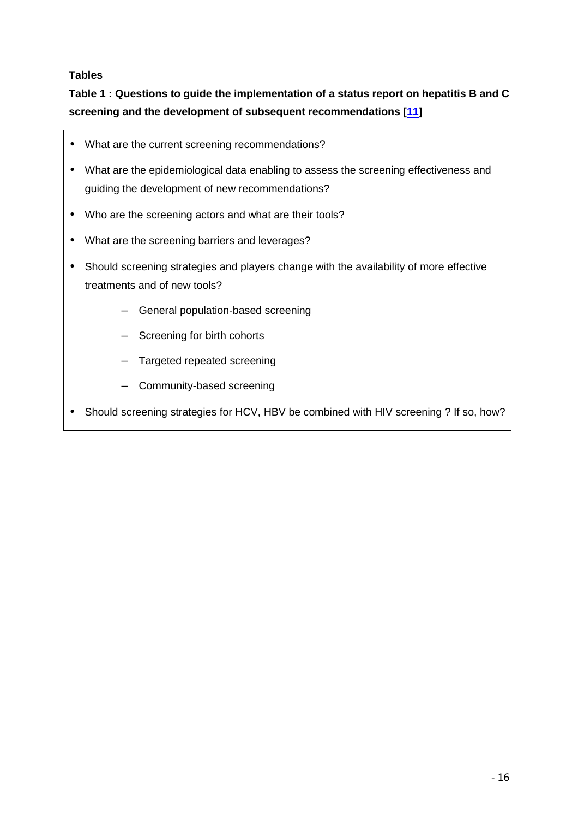## **Tables**

## **Table 1 : Questions to guide the implementation of a status report on hepatitis B and C screening and the development of subsequent recommendations [11]**

- What are the current screening recommendations?
- What are the epidemiological data enabling to assess the screening effectiveness and guiding the development of new recommendations?
- Who are the screening actors and what are their tools?
- What are the screening barriers and leverages?
- Should screening strategies and players change with the availability of more effective treatments and of new tools?
	- General population-based screening
	- Screening for birth cohorts
	- Targeted repeated screening
	- Community-based screening
- Should screening strategies for HCV, HBV be combined with HIV screening ? If so, how?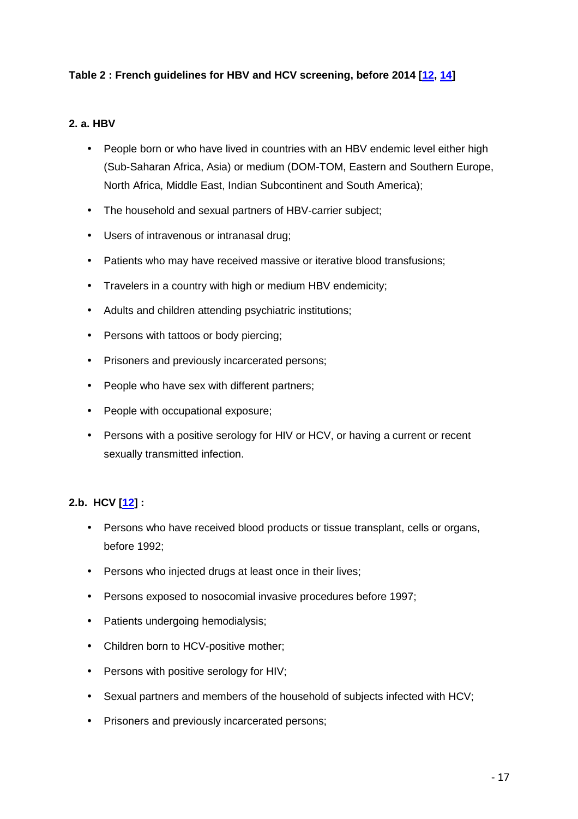## **Table 2 : French guidelines for HBV and HCV screening, before 2014 [12, 14]**

## **2. a. HBV**

- People born or who have lived in countries with an HBV endemic level either high (Sub-Saharan Africa, Asia) or medium (DOM-TOM, Eastern and Southern Europe, North Africa, Middle East, Indian Subcontinent and South America);
- The household and sexual partners of HBV-carrier subject;
- Users of intravenous or intranasal drug;
- Patients who may have received massive or iterative blood transfusions;
- Travelers in a country with high or medium HBV endemicity;
- Adults and children attending psychiatric institutions;
- Persons with tattoos or body piercing;
- Prisoners and previously incarcerated persons;
- People who have sex with different partners;
- People with occupational exposure;
- Persons with a positive serology for HIV or HCV, or having a current or recent sexually transmitted infection.

## **2.b. HCV [12] :**

- Persons who have received blood products or tissue transplant, cells or organs, before 1992;
- Persons who injected drugs at least once in their lives;
- Persons exposed to nosocomial invasive procedures before 1997;
- Patients undergoing hemodialysis;
- Children born to HCV-positive mother;
- Persons with positive serology for HIV;
- Sexual partners and members of the household of subjects infected with HCV;
- Prisoners and previously incarcerated persons;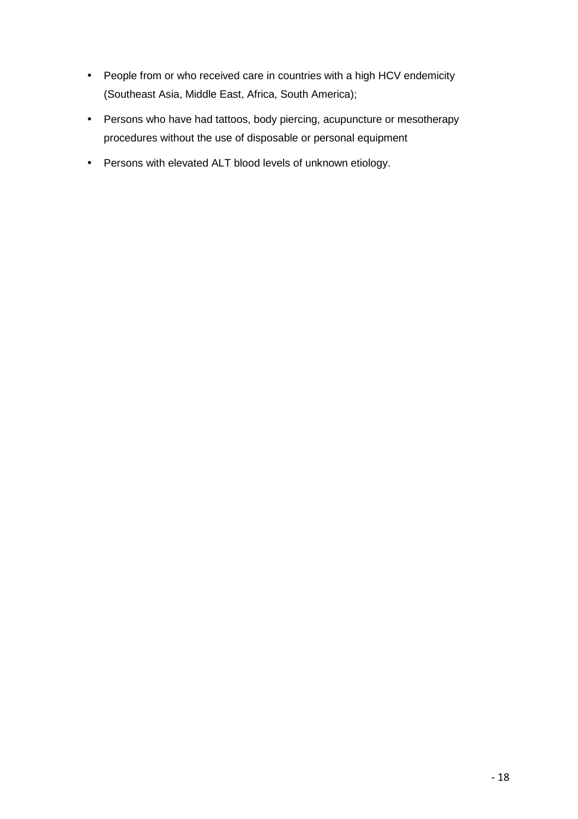- People from or who received care in countries with a high HCV endemicity (Southeast Asia, Middle East, Africa, South America);
- Persons who have had tattoos, body piercing, acupuncture or mesotherapy procedures without the use of disposable or personal equipment
- Persons with elevated ALT blood levels of unknown etiology.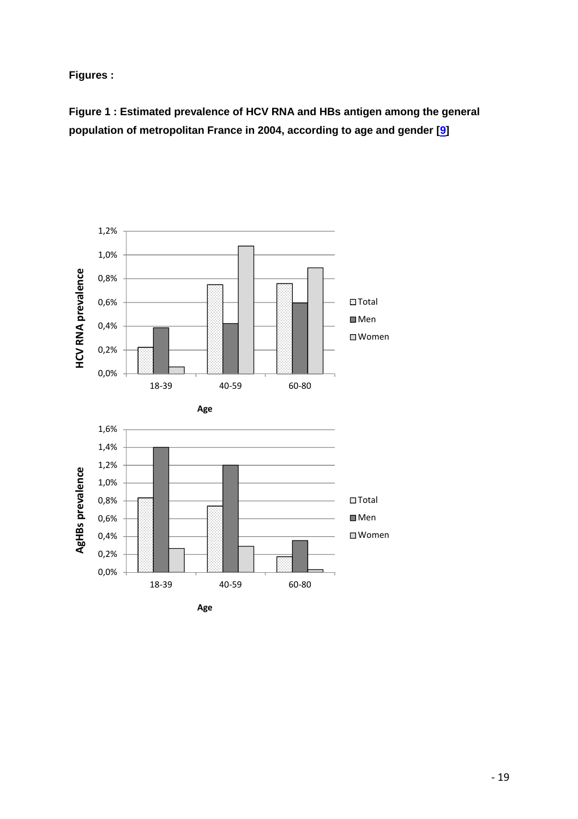**Figures :** 

**Figure 1 : Estimated prevalence of HCV RNA and HBs antigen among the general population of metropolitan France in 2004, according to age and gender [9]** 

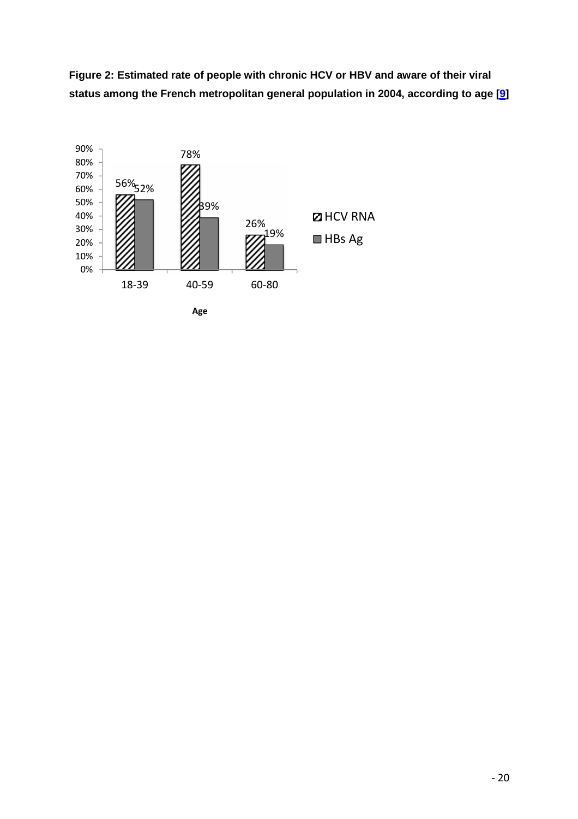**Figure 2: Estimated rate of people with chronic HCV or HBV and aware of their viral status among the French metropolitan general population in 2004, according to age [9]**